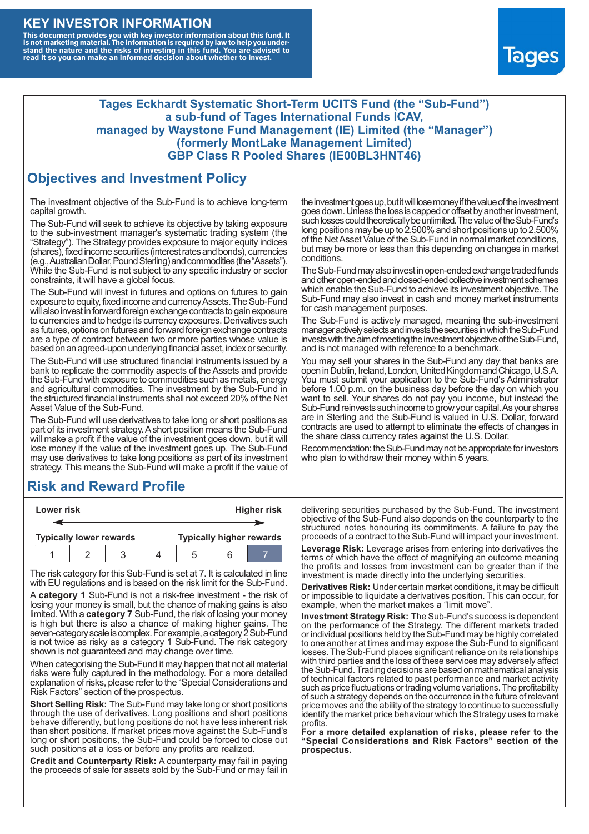### **KEY INVESTOR INFORMATION**

This document provides you with key investor information about this fund. It<br>is not marketing material. The information is required by law to help you under-<br>stand the nature and the risks of investing in this fund. You ar



#### **Tages Eckhardt Systematic Short-Term UCITS Fund (the "Sub-Fund") a sub-fund of Tages International Funds ICAV, managed by Waystone Fund Management (IE) Limited (the "Manager") (formerly MontLake Management Limited) GBP Class R Pooled Shares (IE00BL3HNT46)**

#### **Objectives and Investment Policy**

The investment objective of the Sub-Fund is to achieve long-term capital growth.

The Sub-Fund will seek to achieve its objective by taking exposure to the sub-investment manager's systematic trading system (the "Strategy"). The Strategy provides exposure to major equity indices (shares),fixed income securities (interest rates and bonds), currencies (e.g.,AustralianDollar,PoundSterling)and commodities (the "Assets"). While the Sub-Fund is not subject to any specific industry or sector constraints, it will have a global focus.

The Sub-Fund will invest in futures and options on futures to gain exposure to equity, fixed income and currency Assets. The Sub-Fund will also invest in forward foreign exchange contracts to gain exposure to currencies and to hedge its currency exposures. Derivatives such as futures, options on futures and forward foreign exchange contracts are a type of contract between two or more parties whose value is based on an agreed-upon underlying financial asset, index or security.

The Sub-Fund will use structured financial instruments issued by a bank to replicate the commodity aspects of the Assets and provide the Sub-Fund with exposure to commodities such as metals, energy and agricultural commodities. The investment by the Sub-Fund in the structured financial instruments shall not exceed 20% of the Net Asset Value of the Sub-Fund.

The Sub-Fund will use derivatives to take long or short positions as part of its investment strategy.A short position means the Sub-Fund will make a profit if the value of the investment goes down, but it will lose money if the value of the investment goes up. The Sub-Fund may use derivatives to take long positions as part of its investment strategy. This means the Sub-Fund will make a profit if the value of

## **Risk and Reward Profile**

| Lower risk |  |                                |  |  | <b>Higher risk</b> |                                 |  |
|------------|--|--------------------------------|--|--|--------------------|---------------------------------|--|
|            |  |                                |  |  |                    |                                 |  |
|            |  | <b>Typically lower rewards</b> |  |  |                    | <b>Typically higher rewards</b> |  |
|            |  |                                |  |  | :h                 |                                 |  |

The risk category for this Sub-Fund is set at 7. It is calculated in line with EU regulations and is based on the risk limit for the Sub-Fund.

A **category 1** Sub-Fund is not a risk-free investment - the risk of losing your money is small, but the chance of making gains is also limited. With a **category 7** Sub-Fund, the risk of losing your money is high but there is also a chance of making higher gains. The seven-category scale is complex. For example, a category 2 Sub-Fund is not twice as risky as a category 1 Sub-Fund. The risk category shown is not guaranteed and may change over time.

When categorising the Sub-Fund it may happen that not all material risks were fully captured in the methodology. For a more detailed explanation of risks, please refer to the "Special Considerations and Risk Factors" section of the prospectus.

**Short Selling Risk:** The Sub-Fund may take long or short positions through the use of derivatives. Long positions and short positions behave differently, but long positions do not have less inherent risk than short positions. If market prices move against the Sub-Fund's long or short positions, the Sub-Fund could be forced to close out such positions at a loss or before any profits are realized.

**Credit and Counterparty Risk:** A counterparty may fail in paying the proceeds of sale for assets sold by the Sub-Fund or may fail in the investment goes up, but it will lose money if the value of the investment goes down. Unlessthe loss is capped or offset by another investment, such losses could theoretically be unlimited. The value of the Sub-Fund's long positions may be up to  $2,500\%$  and short positions up to  $2,500\%$ of the NetAsset Value of the Sub-Fund in normal market conditions, but may be more or less than this depending on changes in market conditions.

The Sub-Fund may also invest in open-ended exchange traded funds and other open-ended and closed-ended collective investment schemes which enable the Sub-Fund to achieve its investment objective. The Sub-Fund may also invest in cash and money market instruments for cash management purposes.

The Sub-Fund is actively managed, meaning the sub-investment manager actively selects and invests the securities in which the Sub-Fund invests with the aim of meeting the investment objective of the Sub-Fund, and is not managed with reference to a benchmark.

You may sell your shares in the Sub-Fund any day that banks are open in Dublin, Ireland, London, United Kingdom and Chicago, U.S.A. You must submit your application to the Sub-Fund's Administrator before 1.00 p.m. on the business day before the day on which you want to sell. Your shares do not pay you income, but instead the Sub-Fund reinvests such income to grow your capital. As your shares are in Sterling and the Sub-Fund is valued in U.S. Dollar, forward contracts are used to attempt to eliminate the effects of changes in the share class currency rates against the U.S. Dollar.

Recommendation: the Sub-Fund may not be appropriate for investors who plan to withdraw their money within 5 years.

delivering securities purchased by the Sub-Fund. The investment objective of the Sub-Fund also depends on the counterparty to the structured notes honouring its commitments. A failure to pay the proceeds of a contract to the Sub-Fund will impact your investment.

**Leverage Risk:** Leverage arises from entering into derivatives the terms of which have the effect of magnifying an outcome meaning the profits and losses from investment can be greater than if the investment is made directly into the underlying securities.

**Derivatives Risk:** Under certain market conditions, it may be difficult or impossible to liquidate a derivatives position. This can occur, for example, when the market makes a "limit move".

**Investment Strategy Risk:** The Sub-Fund's success is dependent on the performance of the Strategy. The different markets traded or individual positions held by the Sub-Fund may be highly correlated to one another at times and may expose the Sub-Fund to significant losses. The Sub-Fund places significant reliance on its relationships with third parties and the loss of these services may adversely affect the Sub-Fund. Trading decisions are based on mathematical analysis of technical factors related to past performance and market activity such as price fluctuations or trading volume variations. The profitability of such a strategy depends on the occurrence in the future of relevant price moves and the ability of the strategy to continue to successfully identify the market price behaviour which the Strategy uses to make profits.

**For a more detailed explanation of risks, please refer to the "Special Considerations and Risk Factors" section of the prospectus.**